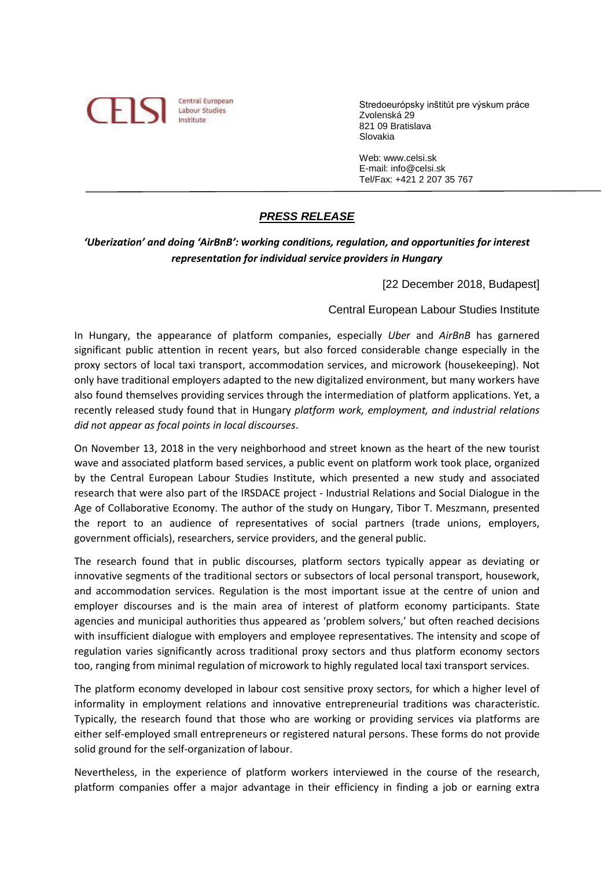

Stredoeurópsky inštitút pre výskum práce Zvolenská 29 821 09 Bratislava Slovakia

 Web: www.celsi.sk E-mail: info@celsi.sk Tel/Fax: +421 2 207 35 767

## *PRESS RELEASE*

## *'Uberization' and doing 'AirBnB': working conditions, regulation, and opportunities for interest representation for individual service providers in Hungary*

[22 December 2018, Budapest]

## Central European Labour Studies Institute

In Hungary, the appearance of platform companies, especially *Uber* and *AirBnB* has garnered significant public attention in recent years, but also forced considerable change especially in the proxy sectors of local taxi transport, accommodation services, and microwork (housekeeping). Not only have traditional employers adapted to the new digitalized environment, but many workers have also found themselves providing services through the intermediation of platform applications. Yet, a recently released study found that in Hungary *platform work, employment, and industrial relations did not appear as focal points in local discourses*.

On November 13, 2018 in the very neighborhood and street known as the heart of the new tourist wave and associated platform based services, a public event on platform work took place, organized by the Central European Labour Studies Institute, which presented a new study and associated research that were also part of the IRSDACE project - Industrial Relations and Social Dialogue in the Age of Collaborative Economy. The author of the study on Hungary, Tibor T. Meszmann, presented the report to an audience of representatives of social partners (trade unions, employers, government officials), researchers, service providers, and the general public.

The research found that in public discourses, platform sectors typically appear as deviating or innovative segments of the traditional sectors or subsectors of local personal transport, housework, and accommodation services. Regulation is the most important issue at the centre of union and employer discourses and is the main area of interest of platform economy participants. State agencies and municipal authorities thus appeared as 'problem solvers,' but often reached decisions with insufficient dialogue with employers and employee representatives. The intensity and scope of regulation varies significantly across traditional proxy sectors and thus platform economy sectors too, ranging from minimal regulation of microwork to highly regulated local taxi transport services.

The platform economy developed in labour cost sensitive proxy sectors, for which a higher level of informality in employment relations and innovative entrepreneurial traditions was characteristic. Typically, the research found that those who are working or providing services via platforms are either self-employed small entrepreneurs or registered natural persons. These forms do not provide solid ground for the self-organization of labour.

Nevertheless, in the experience of platform workers interviewed in the course of the research, platform companies offer a major advantage in their efficiency in finding a job or earning extra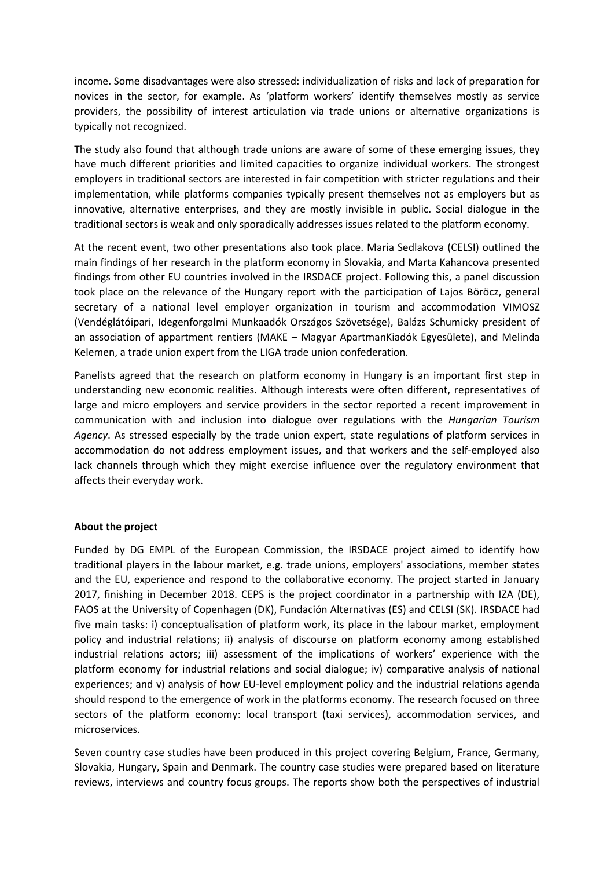income. Some disadvantages were also stressed: individualization of risks and lack of preparation for novices in the sector, for example. As 'platform workers' identify themselves mostly as service providers, the possibility of interest articulation via trade unions or alternative organizations is typically not recognized.

The study also found that although trade unions are aware of some of these emerging issues, they have much different priorities and limited capacities to organize individual workers. The strongest employers in traditional sectors are interested in fair competition with stricter regulations and their implementation, while platforms companies typically present themselves not as employers but as innovative, alternative enterprises, and they are mostly invisible in public. Social dialogue in the traditional sectors is weak and only sporadically addresses issues related to the platform economy.

At the recent event, two other presentations also took place. Maria Sedlakova (CELSI) outlined the main findings of her research in the platform economy in Slovakia, and Marta Kahancova presented findings from other EU countries involved in the IRSDACE project. Following this, a panel discussion took place on the relevance of the Hungary report with the participation of Lajos Böröcz, general secretary of a national level employer organization in tourism and accommodation VIMOSZ (Vendéglátóipari, Idegenforgalmi Munkaadók Országos Szövetsége), Balázs Schumicky president of an association of appartment rentiers (MAKE – Magyar ApartmanKiadók Egyesülete), and Melinda Kelemen, a trade union expert from the LIGA trade union confederation.

Panelists agreed that the research on platform economy in Hungary is an important first step in understanding new economic realities. Although interests were often different, representatives of large and micro employers and service providers in the sector reported a recent improvement in communication with and inclusion into dialogue over regulations with the *Hungarian Tourism Agency*. As stressed especially by the trade union expert, state regulations of platform services in accommodation do not address employment issues, and that workers and the self-employed also lack channels through which they might exercise influence over the regulatory environment that affects their everyday work.

## **About the project**

Funded by DG EMPL of the European Commission, the IRSDACE project aimed to identify how traditional players in the labour market, e.g. trade unions, employers' associations, member states and the EU, experience and respond to the collaborative economy. The project started in January 2017, finishing in December 2018. CEPS is the project coordinator in a partnership with IZA (DE), FAOS at the University of Copenhagen (DK), Fundación Alternativas (ES) and CELSI (SK). IRSDACE had five main tasks: i) conceptualisation of platform work, its place in the labour market, employment policy and industrial relations; ii) analysis of discourse on platform economy among established industrial relations actors; iii) assessment of the implications of workers' experience with the platform economy for industrial relations and social dialogue; iv) comparative analysis of national experiences; and v) analysis of how EU-level employment policy and the industrial relations agenda should respond to the emergence of work in the platforms economy. The research focused on three sectors of the platform economy: local transport (taxi services), accommodation services, and microservices.

Seven country case studies have been produced in this project covering Belgium, France, Germany, Slovakia, Hungary, Spain and Denmark. The country case studies were prepared based on literature reviews, interviews and country focus groups. The reports show both the perspectives of industrial